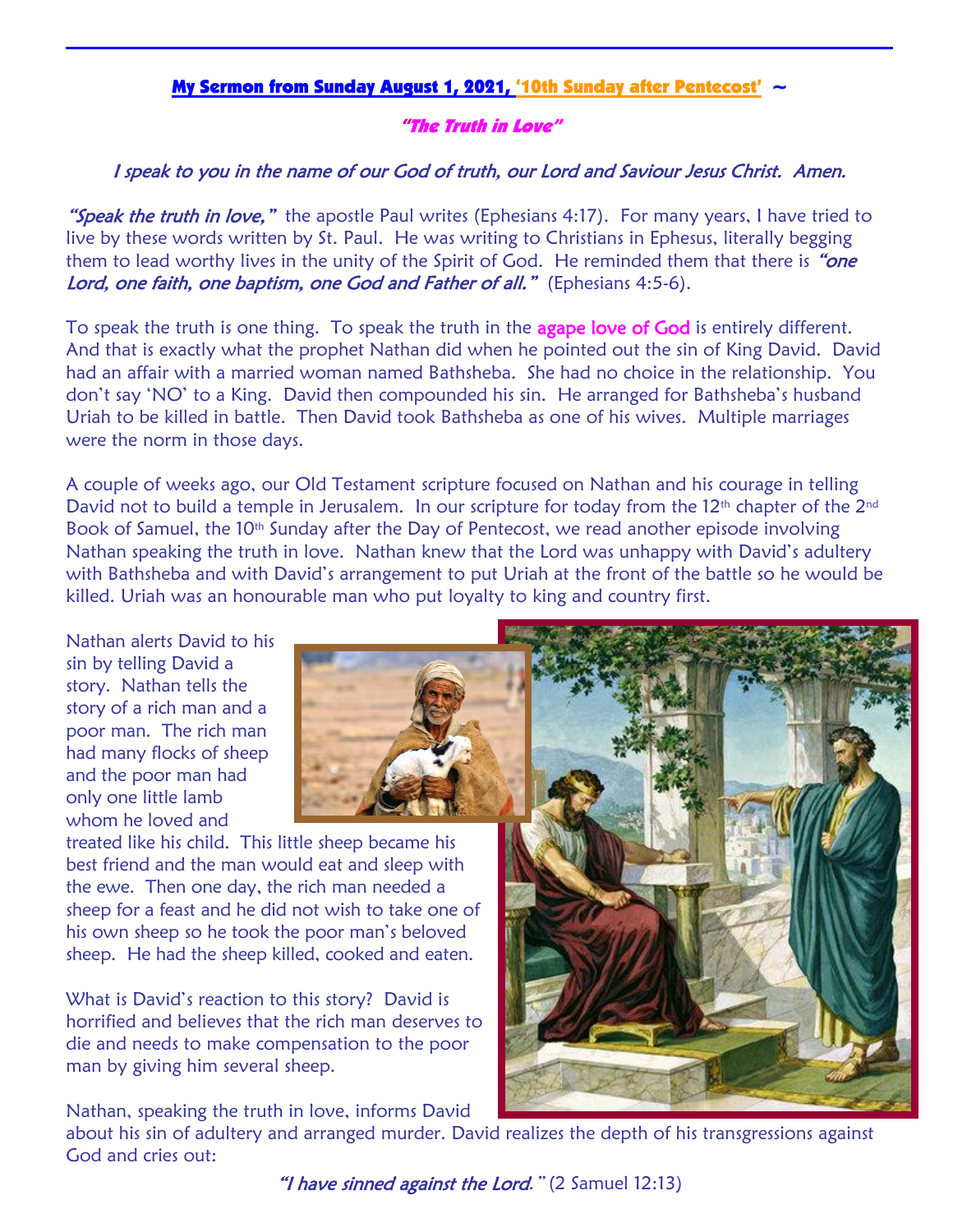## My Sermon from Sunday August 1, 2021, '10th Sunday after Pentecost'  $\sim$

## "The Truth in Love"

## I speak to you in the name of our God of truth, our Lord and Saviour Jesus Christ. Amen.

**"Speak the truth in love,"** the apostle Paul writes (Ephesians 4:17). For many years, I have tried to live by these words written by St. Paul. He was writing to Christians in Ephesus, literally begging them to lead worthy lives in the unity of the Spirit of God. He reminded them that there is "one Lord, one faith, one baptism, one God and Father of all." (Ephesians 4:5-6).

To speak the truth is one thing. To speak the truth in the agape love of God is entirely different. And that is exactly what the prophet Nathan did when he pointed out the sin of King David. David had an affair with a married woman named Bathsheba. She had no choice in the relationship. You don't say 'NO' to a King. David then compounded his sin. He arranged for Bathsheba's husband Uriah to be killed in battle. Then David took Bathsheba as one of his wives. Multiple marriages were the norm in those days.

A couple of weeks ago, our Old Testament scripture focused on Nathan and his courage in telling David not to build a temple in Jerusalem. In our scripture for today from the 12<sup>th</sup> chapter of the 2<sup>nd</sup> Book of Samuel, the 10<sup>th</sup> Sunday after the Day of Pentecost, we read another episode involving Nathan speaking the truth in love. Nathan knew that the Lord was unhappy with David's adultery with Bathsheba and with David's arrangement to put Uriah at the front of the battle so he would be killed. Uriah was an honourable man who put loyalty to king and country first.

Nathan alerts David to his sin by telling David a story. Nathan tells the story of a rich man and a poor man. The rich man had many flocks of sheep and the poor man had only one little lamb whom he loved and



treated like his child. This little sheep became his best friend and the man would eat and sleep with the ewe. Then one day, the rich man needed a sheep for a feast and he did not wish to take one of his own sheep so he took the poor man's beloved sheep. He had the sheep killed, cooked and eaten.

What is David's reaction to this story? David is horrified and believes that the rich man deserves to die and needs to make compensation to the poor man by giving him several sheep.

Nathan, speaking the truth in love, informs David

about his sin of adultery and arranged murder. David realizes the depth of his transgressions against God and cries out:

"I have sinned against the Lord." (2 Samuel 12:13)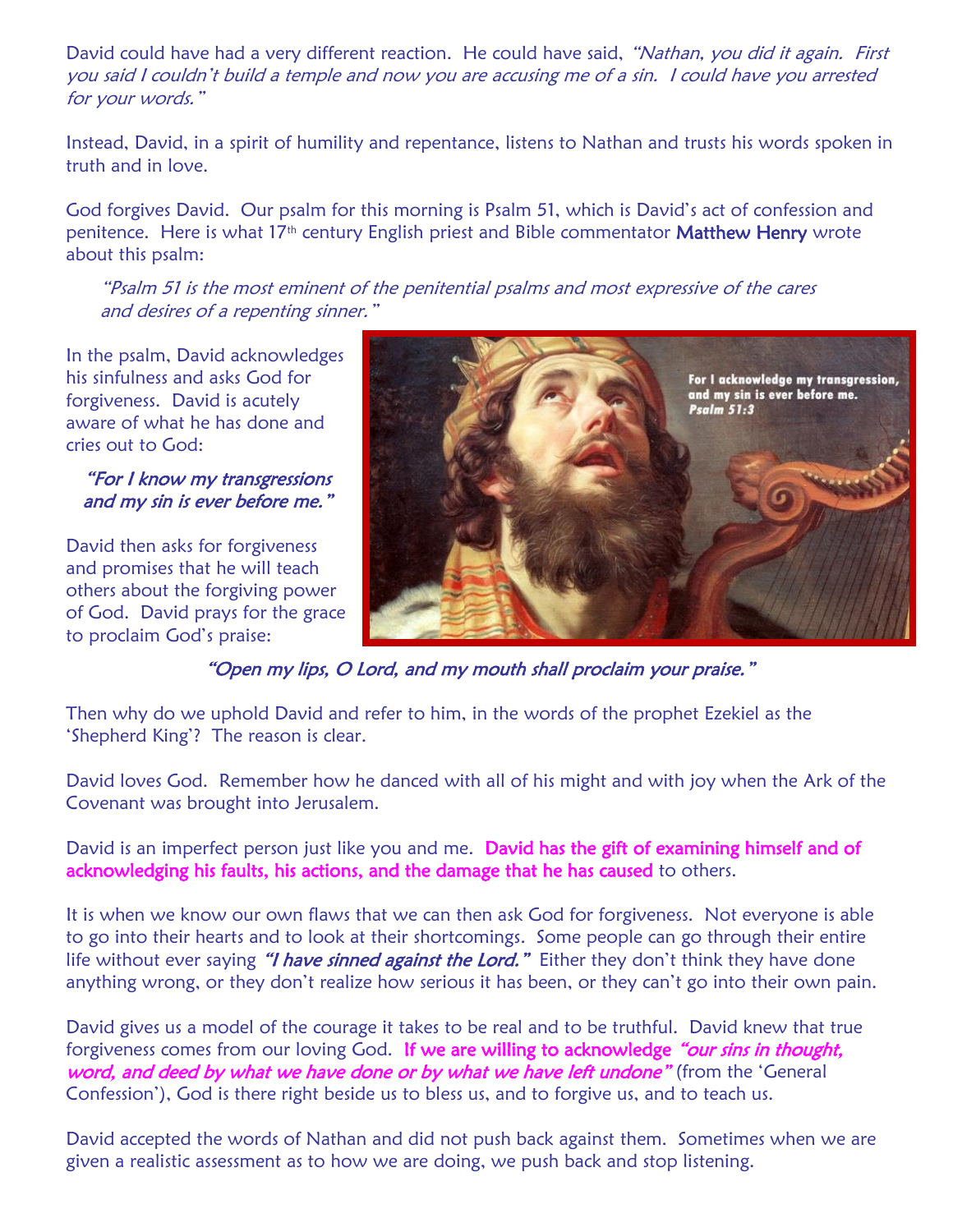David could have had a very different reaction. He could have said, "Nathan, you did it again. First you said I couldn't build a temple and now you are accusing me of a sin. I could have you arrested for your words."

Instead, David, in a spirit of humility and repentance, listens to Nathan and trusts his words spoken in truth and in love.

God forgives David. Our psalm for this morning is Psalm 51, which is David's act of confession and penitence. Here is what 17<sup>th</sup> century English priest and Bible commentator Matthew Henry wrote about this psalm:

"Psalm 51 is the most eminent of the penitential psalms and most expressive of the cares and desires of a repenting sinner."

In the psalm, David acknowledges his sinfulness and asks God for forgiveness. David is acutely aware of what he has done and cries out to God:

"For I know my transgressions and my sin is ever before me."

David then asks for forgiveness and promises that he will teach others about the forgiving power of God. David prays for the grace to proclaim God's praise:



"Open my lips, O Lord, and my mouth shall proclaim your praise."

Then why do we uphold David and refer to him, in the words of the prophet Ezekiel as the 'Shepherd King'? The reason is clear.

David loves God. Remember how he danced with all of his might and with joy when the Ark of the Covenant was brought into Jerusalem.

David is an imperfect person just like you and me. David has the gift of examining himself and of acknowledging his faults, his actions, and the damage that he has caused to others.

It is when we know our own flaws that we can then ask God for forgiveness. Not everyone is able to go into their hearts and to look at their shortcomings. Some people can go through their entire life without ever saying "I have sinned against the Lord." Either they don't think they have done anything wrong, or they don't realize how serious it has been, or they can't go into their own pain.

David gives us a model of the courage it takes to be real and to be truthful. David knew that true forgiveness comes from our loving God. If we are willing to acknowledge "our sins in thought, word, and deed by what we have done or by what we have left undone" (from the 'General Confession'), God is there right beside us to bless us, and to forgive us, and to teach us.

David accepted the words of Nathan and did not push back against them. Sometimes when we are given a realistic assessment as to how we are doing, we push back and stop listening.